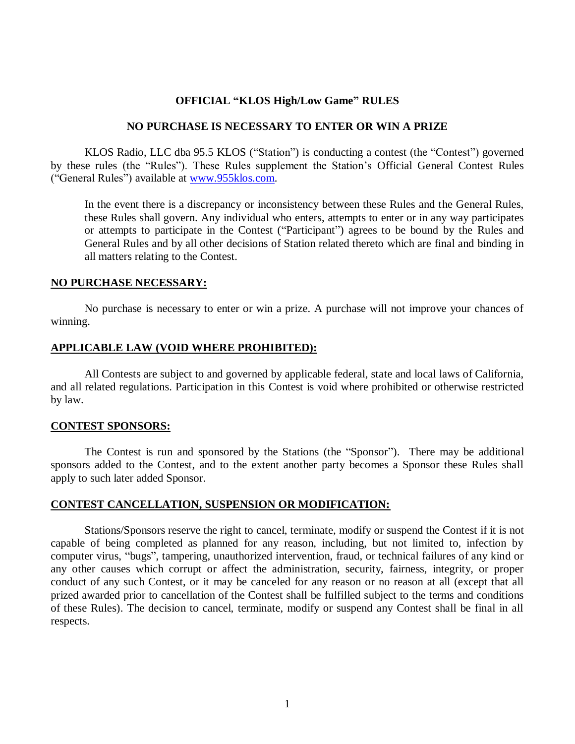# **OFFICIAL "KLOS High/Low Game" RULES**

#### **NO PURCHASE IS NECESSARY TO ENTER OR WIN A PRIZE**

KLOS Radio, LLC dba 95.5 KLOS ("Station") is conducting a contest (the "Contest") governed by these rules (the "Rules"). These Rules supplement the Station's Official General Contest Rules ("General Rules") available at [www.955klos.com.](http://www.955klos.com/)

In the event there is a discrepancy or inconsistency between these Rules and the General Rules, these Rules shall govern. Any individual who enters, attempts to enter or in any way participates or attempts to participate in the Contest ("Participant") agrees to be bound by the Rules and General Rules and by all other decisions of Station related thereto which are final and binding in all matters relating to the Contest.

#### **NO PURCHASE NECESSARY:**

No purchase is necessary to enter or win a prize. A purchase will not improve your chances of winning.

#### **APPLICABLE LAW (VOID WHERE PROHIBITED):**

All Contests are subject to and governed by applicable federal, state and local laws of California, and all related regulations. Participation in this Contest is void where prohibited or otherwise restricted by law.

#### **CONTEST SPONSORS:**

The Contest is run and sponsored by the Stations (the "Sponsor"). There may be additional sponsors added to the Contest, and to the extent another party becomes a Sponsor these Rules shall apply to such later added Sponsor.

## **CONTEST CANCELLATION, SUSPENSION OR MODIFICATION:**

Stations/Sponsors reserve the right to cancel, terminate, modify or suspend the Contest if it is not capable of being completed as planned for any reason, including, but not limited to, infection by computer virus, "bugs", tampering, unauthorized intervention, fraud, or technical failures of any kind or any other causes which corrupt or affect the administration, security, fairness, integrity, or proper conduct of any such Contest, or it may be canceled for any reason or no reason at all (except that all prized awarded prior to cancellation of the Contest shall be fulfilled subject to the terms and conditions of these Rules). The decision to cancel, terminate, modify or suspend any Contest shall be final in all respects.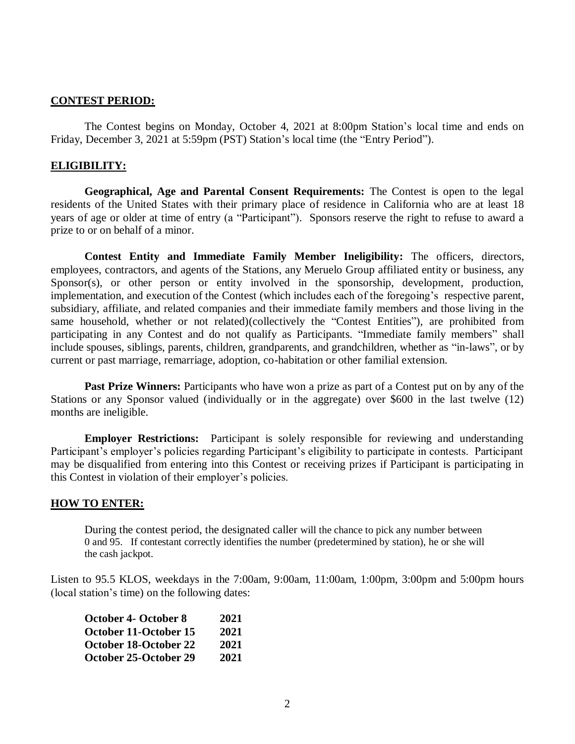## **CONTEST PERIOD:**

The Contest begins on Monday, October 4, 2021 at 8:00pm Station's local time and ends on Friday, December 3, 2021 at 5:59pm (PST) Station's local time (the "Entry Period").

## **ELIGIBILITY:**

**Geographical, Age and Parental Consent Requirements:** The Contest is open to the legal residents of the United States with their primary place of residence in California who are at least 18 years of age or older at time of entry (a "Participant"). Sponsors reserve the right to refuse to award a prize to or on behalf of a minor.

**Contest Entity and Immediate Family Member Ineligibility:** The officers, directors, employees, contractors, and agents of the Stations, any Meruelo Group affiliated entity or business, any Sponsor(s), or other person or entity involved in the sponsorship, development, production, implementation, and execution of the Contest (which includes each of the foregoing's respective parent, subsidiary, affiliate, and related companies and their immediate family members and those living in the same household, whether or not related)(collectively the "Contest Entities"), are prohibited from participating in any Contest and do not qualify as Participants. "Immediate family members" shall include spouses, siblings, parents, children, grandparents, and grandchildren, whether as "in-laws", or by current or past marriage, remarriage, adoption, co-habitation or other familial extension.

**Past Prize Winners:** Participants who have won a prize as part of a Contest put on by any of the Stations or any Sponsor valued (individually or in the aggregate) over \$600 in the last twelve (12) months are ineligible.

**Employer Restrictions:** Participant is solely responsible for reviewing and understanding Participant's employer's policies regarding Participant's eligibility to participate in contests. Participant may be disqualified from entering into this Contest or receiving prizes if Participant is participating in this Contest in violation of their employer's policies.

## **HOW TO ENTER:**

During the contest period, the designated caller will the chance to pick any number between 0 and 95. If contestant correctly identifies the number (predetermined by station), he or she will the cash jackpot.

Listen to 95.5 KLOS, weekdays in the 7:00am, 9:00am, 11:00am, 1:00pm, 3:00pm and 5:00pm hours (local station's time) on the following dates:

| <b>October 4- October 8</b> | 2021 |
|-----------------------------|------|
| October 11-October 15       | 2021 |
| October 18-October 22       | 2021 |
| October 25-October 29       | 2021 |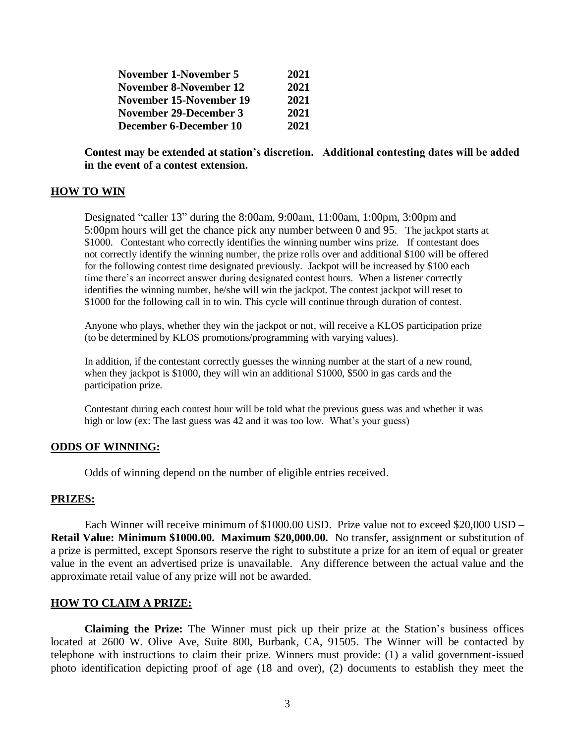| November 1-November 5   | 2021 |
|-------------------------|------|
| November 8-November 12  | 2021 |
| November 15-November 19 | 2021 |
| November 29-December 3  | 2021 |
| December 6-December 10  | 2021 |

**Contest may be extended at station's discretion. Additional contesting dates will be added in the event of a contest extension.**

## **HOW TO WIN**

Designated "caller 13" during the 8:00am, 9:00am, 11:00am, 1:00pm, 3:00pm and 5:00pm hours will get the chance pick any number between 0 and 95. The jackpot starts at \$1000. Contestant who correctly identifies the winning number wins prize. If contestant does not correctly identify the winning number, the prize rolls over and additional \$100 will be offered for the following contest time designated previously. Jackpot will be increased by \$100 each time there's an incorrect answer during designated contest hours. When a listener correctly identifies the winning number, he/she will win the jackpot. The contest jackpot will reset to \$1000 for the following call in to win. This cycle will continue through duration of contest.

Anyone who plays, whether they win the jackpot or not, will receive a KLOS participation prize (to be determined by KLOS promotions/programming with varying values).

In addition, if the contestant correctly guesses the winning number at the start of a new round, when they jackpot is \$1000, they will win an additional \$1000, \$500 in gas cards and the participation prize.

Contestant during each contest hour will be told what the previous guess was and whether it was high or low (ex: The last guess was 42 and it was too low. What's your guess)

#### **ODDS OF WINNING:**

Odds of winning depend on the number of eligible entries received.

#### **PRIZES:**

Each Winner will receive minimum of \$1000.00 USD. Prize value not to exceed \$20,000 USD – **Retail Value: Minimum \$1000.00. Maximum \$20,000.00.** No transfer, assignment or substitution of a prize is permitted, except Sponsors reserve the right to substitute a prize for an item of equal or greater value in the event an advertised prize is unavailable. Any difference between the actual value and the approximate retail value of any prize will not be awarded.

#### **HOW TO CLAIM A PRIZE:**

**Claiming the Prize:** The Winner must pick up their prize at the Station's business offices located at 2600 W. Olive Ave, Suite 800, Burbank, CA, 91505. The Winner will be contacted by telephone with instructions to claim their prize. Winners must provide: (1) a valid government-issued photo identification depicting proof of age (18 and over), (2) documents to establish they meet the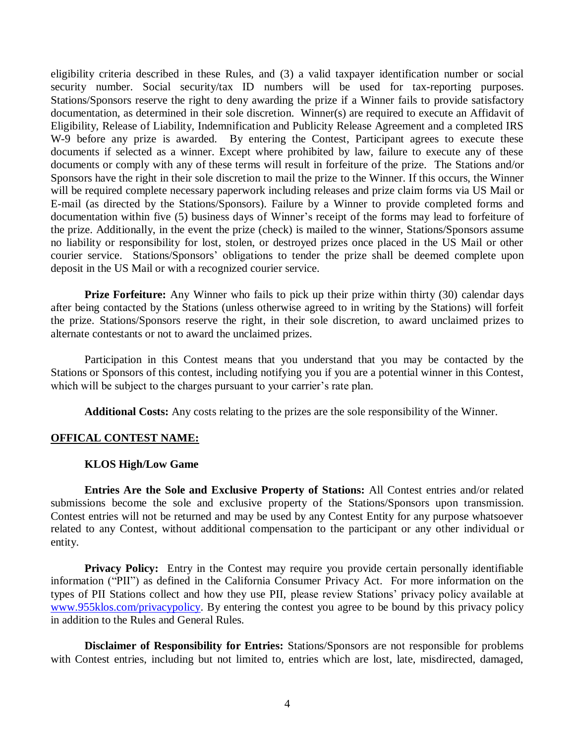eligibility criteria described in these Rules, and (3) a valid taxpayer identification number or social security number. Social security/tax ID numbers will be used for tax-reporting purposes. Stations/Sponsors reserve the right to deny awarding the prize if a Winner fails to provide satisfactory documentation, as determined in their sole discretion. Winner(s) are required to execute an Affidavit of Eligibility, Release of Liability, Indemnification and Publicity Release Agreement and a completed IRS W-9 before any prize is awarded. By entering the Contest, Participant agrees to execute these documents if selected as a winner. Except where prohibited by law, failure to execute any of these documents or comply with any of these terms will result in forfeiture of the prize. The Stations and/or Sponsors have the right in their sole discretion to mail the prize to the Winner. If this occurs, the Winner will be required complete necessary paperwork including releases and prize claim forms via US Mail or E-mail (as directed by the Stations/Sponsors). Failure by a Winner to provide completed forms and documentation within five (5) business days of Winner's receipt of the forms may lead to forfeiture of the prize. Additionally, in the event the prize (check) is mailed to the winner, Stations/Sponsors assume no liability or responsibility for lost, stolen, or destroyed prizes once placed in the US Mail or other courier service. Stations/Sponsors' obligations to tender the prize shall be deemed complete upon deposit in the US Mail or with a recognized courier service.

**Prize Forfeiture:** Any Winner who fails to pick up their prize within thirty (30) calendar days after being contacted by the Stations (unless otherwise agreed to in writing by the Stations) will forfeit the prize. Stations/Sponsors reserve the right, in their sole discretion, to award unclaimed prizes to alternate contestants or not to award the unclaimed prizes.

Participation in this Contest means that you understand that you may be contacted by the Stations or Sponsors of this contest, including notifying you if you are a potential winner in this Contest, which will be subject to the charges pursuant to your carrier's rate plan.

**Additional Costs:** Any costs relating to the prizes are the sole responsibility of the Winner.

## **OFFICAL CONTEST NAME:**

# **KLOS High/Low Game**

**Entries Are the Sole and Exclusive Property of Stations:** All Contest entries and/or related submissions become the sole and exclusive property of the Stations/Sponsors upon transmission. Contest entries will not be returned and may be used by any Contest Entity for any purpose whatsoever related to any Contest, without additional compensation to the participant or any other individual or entity.

Privacy Policy: Entry in the Contest may require you provide certain personally identifiable information ("PII") as defined in the California Consumer Privacy Act. For more information on the types of PII Stations collect and how they use PII, please review Stations' privacy policy available at [www.955klos.com/privacypolicy.](http://www.955klos.com/privacypolicy) By entering the contest you agree to be bound by this privacy policy in addition to the Rules and General Rules.

**Disclaimer of Responsibility for Entries:** Stations/Sponsors are not responsible for problems with Contest entries, including but not limited to, entries which are lost, late, misdirected, damaged,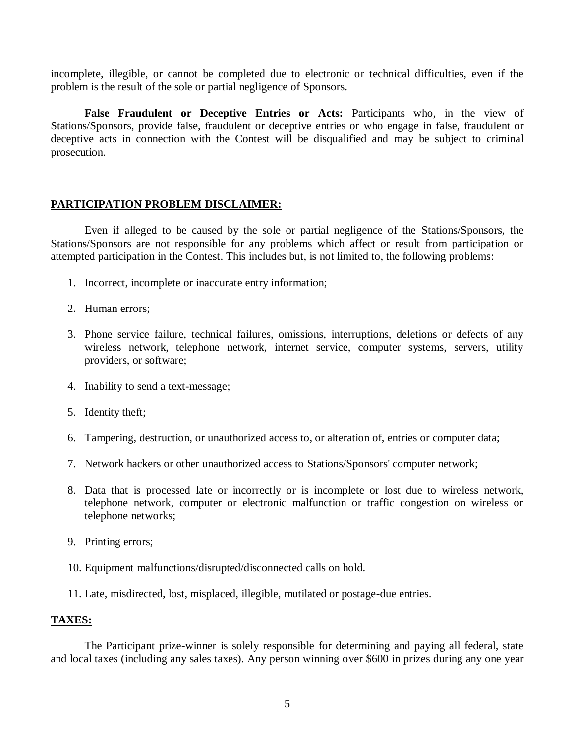incomplete, illegible, or cannot be completed due to electronic or technical difficulties, even if the problem is the result of the sole or partial negligence of Sponsors.

**False Fraudulent or Deceptive Entries or Acts:** Participants who, in the view of Stations/Sponsors, provide false, fraudulent or deceptive entries or who engage in false, fraudulent or deceptive acts in connection with the Contest will be disqualified and may be subject to criminal prosecution.

# **PARTICIPATION PROBLEM DISCLAIMER:**

Even if alleged to be caused by the sole or partial negligence of the Stations/Sponsors, the Stations/Sponsors are not responsible for any problems which affect or result from participation or attempted participation in the Contest. This includes but, is not limited to, the following problems:

- 1. Incorrect, incomplete or inaccurate entry information;
- 2. Human errors;
- 3. Phone service failure, technical failures, omissions, interruptions, deletions or defects of any wireless network, telephone network, internet service, computer systems, servers, utility providers, or software;
- 4. Inability to send a text-message;
- 5. Identity theft;
- 6. Tampering, destruction, or unauthorized access to, or alteration of, entries or computer data;
- 7. Network hackers or other unauthorized access to Stations/Sponsors' computer network;
- 8. Data that is processed late or incorrectly or is incomplete or lost due to wireless network, telephone network, computer or electronic malfunction or traffic congestion on wireless or telephone networks;
- 9. Printing errors;
- 10. Equipment malfunctions/disrupted/disconnected calls on hold.
- 11. Late, misdirected, lost, misplaced, illegible, mutilated or postage-due entries.

# **TAXES:**

The Participant prize-winner is solely responsible for determining and paying all federal, state and local taxes (including any sales taxes). Any person winning over \$600 in prizes during any one year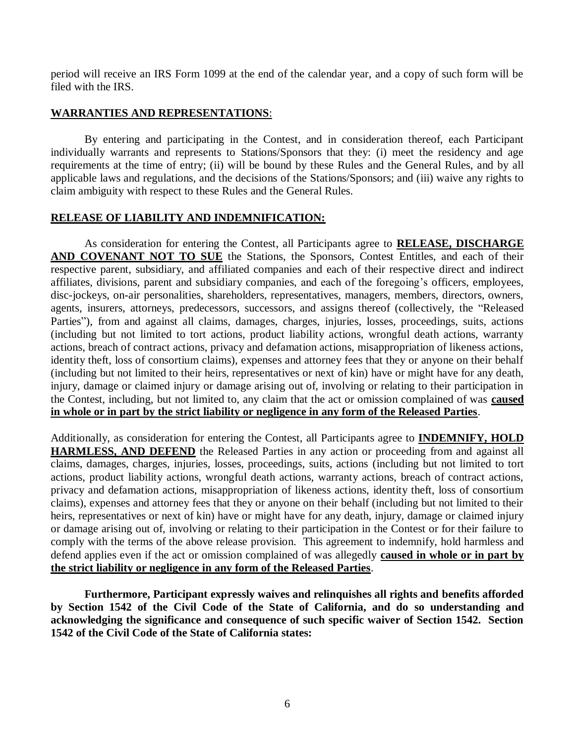period will receive an IRS Form 1099 at the end of the calendar year, and a copy of such form will be filed with the IRS.

# **WARRANTIES AND REPRESENTATIONS**:

By entering and participating in the Contest, and in consideration thereof, each Participant individually warrants and represents to Stations/Sponsors that they: (i) meet the residency and age requirements at the time of entry; (ii) will be bound by these Rules and the General Rules, and by all applicable laws and regulations, and the decisions of the Stations/Sponsors; and (iii) waive any rights to claim ambiguity with respect to these Rules and the General Rules.

# **RELEASE OF LIABILITY AND INDEMNIFICATION:**

As consideration for entering the Contest, all Participants agree to **RELEASE, DISCHARGE AND COVENANT NOT TO SUE** the Stations, the Sponsors, Contest Entitles, and each of their respective parent, subsidiary, and affiliated companies and each of their respective direct and indirect affiliates, divisions, parent and subsidiary companies, and each of the foregoing's officers, employees, disc-jockeys, on-air personalities, shareholders, representatives, managers, members, directors, owners, agents, insurers, attorneys, predecessors, successors, and assigns thereof (collectively, the "Released Parties"), from and against all claims, damages, charges, injuries, losses, proceedings, suits, actions (including but not limited to tort actions, product liability actions, wrongful death actions, warranty actions, breach of contract actions, privacy and defamation actions, misappropriation of likeness actions, identity theft, loss of consortium claims), expenses and attorney fees that they or anyone on their behalf (including but not limited to their heirs, representatives or next of kin) have or might have for any death, injury, damage or claimed injury or damage arising out of, involving or relating to their participation in the Contest, including, but not limited to, any claim that the act or omission complained of was **caused in whole or in part by the strict liability or negligence in any form of the Released Parties**.

Additionally, as consideration for entering the Contest, all Participants agree to **INDEMNIFY, HOLD HARMLESS, AND DEFEND** the Released Parties in any action or proceeding from and against all claims, damages, charges, injuries, losses, proceedings, suits, actions (including but not limited to tort actions, product liability actions, wrongful death actions, warranty actions, breach of contract actions, privacy and defamation actions, misappropriation of likeness actions, identity theft, loss of consortium claims), expenses and attorney fees that they or anyone on their behalf (including but not limited to their heirs, representatives or next of kin) have or might have for any death, injury, damage or claimed injury or damage arising out of, involving or relating to their participation in the Contest or for their failure to comply with the terms of the above release provision. This agreement to indemnify, hold harmless and defend applies even if the act or omission complained of was allegedly **caused in whole or in part by the strict liability or negligence in any form of the Released Parties**.

**Furthermore, Participant expressly waives and relinquishes all rights and benefits afforded by Section 1542 of the Civil Code of the State of California, and do so understanding and acknowledging the significance and consequence of such specific waiver of Section 1542. Section 1542 of the Civil Code of the State of California states:**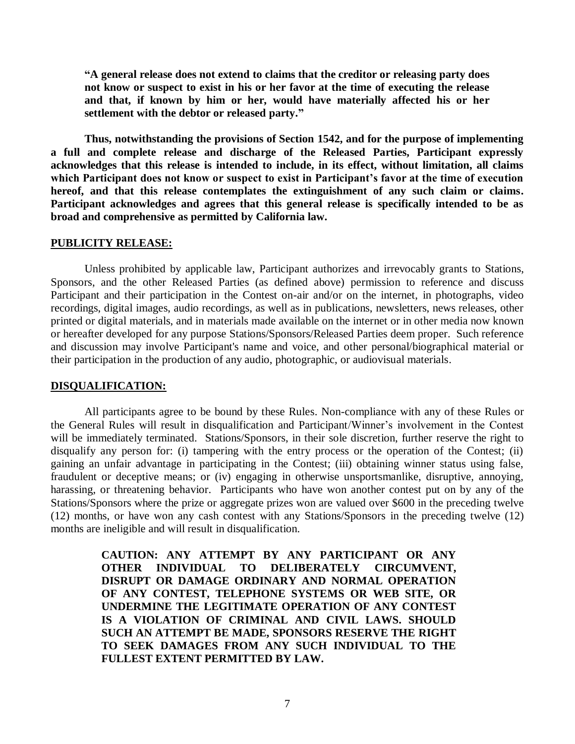**"A general release does not extend to claims that the creditor or releasing party does not know or suspect to exist in his or her favor at the time of executing the release and that, if known by him or her, would have materially affected his or her settlement with the debtor or released party."**

**Thus, notwithstanding the provisions of Section 1542, and for the purpose of implementing a full and complete release and discharge of the Released Parties, Participant expressly acknowledges that this release is intended to include, in its effect, without limitation, all claims which Participant does not know or suspect to exist in Participant's favor at the time of execution hereof, and that this release contemplates the extinguishment of any such claim or claims. Participant acknowledges and agrees that this general release is specifically intended to be as broad and comprehensive as permitted by California law.**

### **PUBLICITY RELEASE:**

Unless prohibited by applicable law, Participant authorizes and irrevocably grants to Stations, Sponsors, and the other Released Parties (as defined above) permission to reference and discuss Participant and their participation in the Contest on-air and/or on the internet, in photographs, video recordings, digital images, audio recordings, as well as in publications, newsletters, news releases, other printed or digital materials, and in materials made available on the internet or in other media now known or hereafter developed for any purpose Stations/Sponsors/Released Parties deem proper. Such reference and discussion may involve Participant's name and voice, and other personal/biographical material or their participation in the production of any audio, photographic, or audiovisual materials.

## **DISQUALIFICATION:**

All participants agree to be bound by these Rules. Non-compliance with any of these Rules or the General Rules will result in disqualification and Participant/Winner's involvement in the Contest will be immediately terminated. Stations/Sponsors, in their sole discretion, further reserve the right to disqualify any person for: (i) tampering with the entry process or the operation of the Contest; (ii) gaining an unfair advantage in participating in the Contest; (iii) obtaining winner status using false, fraudulent or deceptive means; or (iv) engaging in otherwise unsportsmanlike, disruptive, annoying, harassing, or threatening behavior. Participants who have won another contest put on by any of the Stations/Sponsors where the prize or aggregate prizes won are valued over \$600 in the preceding twelve (12) months, or have won any cash contest with any Stations/Sponsors in the preceding twelve (12) months are ineligible and will result in disqualification.

> **CAUTION: ANY ATTEMPT BY ANY PARTICIPANT OR ANY OTHER INDIVIDUAL TO DELIBERATELY CIRCUMVENT, DISRUPT OR DAMAGE ORDINARY AND NORMAL OPERATION OF ANY CONTEST, TELEPHONE SYSTEMS OR WEB SITE, OR UNDERMINE THE LEGITIMATE OPERATION OF ANY CONTEST IS A VIOLATION OF CRIMINAL AND CIVIL LAWS. SHOULD SUCH AN ATTEMPT BE MADE, SPONSORS RESERVE THE RIGHT TO SEEK DAMAGES FROM ANY SUCH INDIVIDUAL TO THE FULLEST EXTENT PERMITTED BY LAW.**